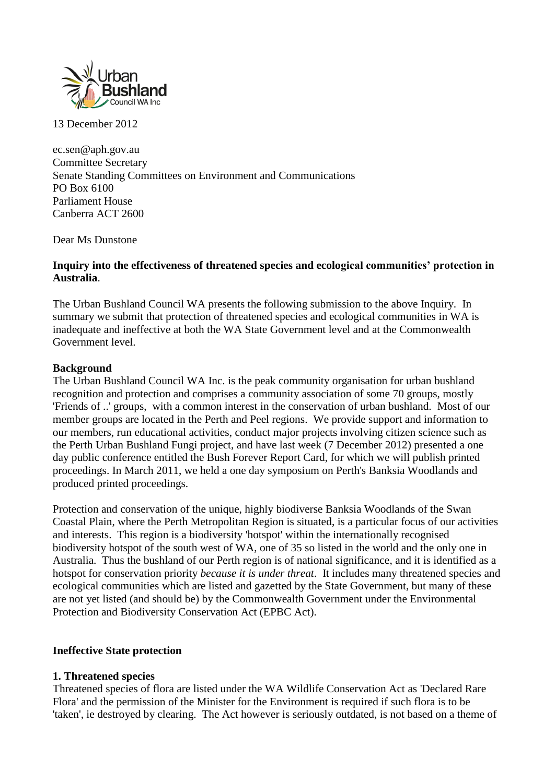

13 December 2012

ec.sen@aph.gov.au Committee Secretary Senate Standing Committees on Environment and Communications PO Box 6100 Parliament House Canberra ACT 2600

Dear Ms Dunstone

## **Inquiry into the effectiveness of threatened species and ecological communities' protection in Australia**.

The Urban Bushland Council WA presents the following submission to the above Inquiry. In summary we submit that protection of threatened species and ecological communities in WA is inadequate and ineffective at both the WA State Government level and at the Commonwealth Government level.

## **Background**

The Urban Bushland Council WA Inc. is the peak community organisation for urban bushland recognition and protection and comprises a community association of some 70 groups, mostly 'Friends of ..' groups, with a common interest in the conservation of urban bushland. Most of our member groups are located in the Perth and Peel regions. We provide support and information to our members, run educational activities, conduct major projects involving citizen science such as the Perth Urban Bushland Fungi project, and have last week (7 December 2012) presented a one day public conference entitled the Bush Forever Report Card, for which we will publish printed proceedings. In March 2011, we held a one day symposium on Perth's Banksia Woodlands and produced printed proceedings.

Protection and conservation of the unique, highly biodiverse Banksia Woodlands of the Swan Coastal Plain, where the Perth Metropolitan Region is situated, is a particular focus of our activities and interests. This region is a biodiversity 'hotspot' within the internationally recognised biodiversity hotspot of the south west of WA, one of 35 so listed in the world and the only one in Australia. Thus the bushland of our Perth region is of national significance, and it is identified as a hotspot for conservation priority *because it is under threat*. It includes many threatened species and ecological communities which are listed and gazetted by the State Government, but many of these are not yet listed (and should be) by the Commonwealth Government under the Environmental Protection and Biodiversity Conservation Act (EPBC Act).

#### **Ineffective State protection**

#### **1. Threatened species**

Threatened species of flora are listed under the WA Wildlife Conservation Act as 'Declared Rare Flora' and the permission of the Minister for the Environment is required if such flora is to be 'taken', ie destroyed by clearing. The Act however is seriously outdated, is not based on a theme of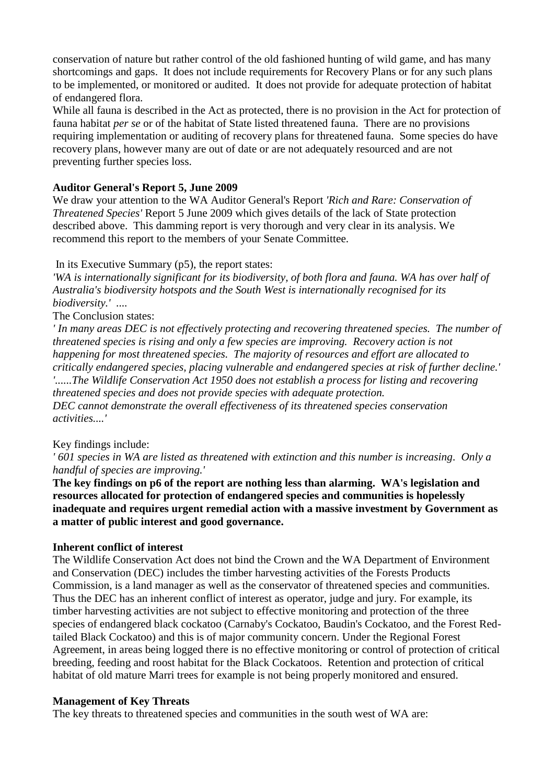conservation of nature but rather control of the old fashioned hunting of wild game, and has many shortcomings and gaps. It does not include requirements for Recovery Plans or for any such plans to be implemented, or monitored or audited. It does not provide for adequate protection of habitat of endangered flora.

While all fauna is described in the Act as protected, there is no provision in the Act for protection of fauna habitat *per se* or of the habitat of State listed threatened fauna. There are no provisions requiring implementation or auditing of recovery plans for threatened fauna. Some species do have recovery plans, however many are out of date or are not adequately resourced and are not preventing further species loss.

## **Auditor General's Report 5, June 2009**

We draw your attention to the WA Auditor General's Report *'Rich and Rare: Conservation of Threatened Species'* Report 5 June 2009 which gives details of the lack of State protection described above. This damming report is very thorough and very clear in its analysis. We recommend this report to the members of your Senate Committee.

## In its Executive Summary (p5), the report states:

*'WA is internationally significant for its biodiversity, of both flora and fauna. WA has over half of Australia's biodiversity hotspots and the South West is internationally recognised for its biodiversity.' ....*

The Conclusion states:

*' In many areas DEC is not effectively protecting and recovering threatened species. The number of threatened species is rising and only a few species are improving. Recovery action is not happening for most threatened species. The majority of resources and effort are allocated to critically endangered species, placing vulnerable and endangered species at risk of further decline.' '......The Wildlife Conservation Act 1950 does not establish a process for listing and recovering threatened species and does not provide species with adequate protection. DEC cannot demonstrate the overall effectiveness of its threatened species conservation activities....'*

#### Key findings include:

*' 601 species in WA are listed as threatened with extinction and this number is increasing. Only a handful of species are improving.'* 

**The key findings on p6 of the report are nothing less than alarming. WA's legislation and resources allocated for protection of endangered species and communities is hopelessly inadequate and requires urgent remedial action with a massive investment by Government as a matter of public interest and good governance.** 

#### **Inherent conflict of interest**

The Wildlife Conservation Act does not bind the Crown and the WA Department of Environment and Conservation (DEC) includes the timber harvesting activities of the Forests Products Commission, is a land manager as well as the conservator of threatened species and communities. Thus the DEC has an inherent conflict of interest as operator, judge and jury. For example, its timber harvesting activities are not subject to effective monitoring and protection of the three species of endangered black cockatoo (Carnaby's Cockatoo, Baudin's Cockatoo, and the Forest Redtailed Black Cockatoo) and this is of major community concern. Under the Regional Forest Agreement, in areas being logged there is no effective monitoring or control of protection of critical breeding, feeding and roost habitat for the Black Cockatoos. Retention and protection of critical habitat of old mature Marri trees for example is not being properly monitored and ensured.

#### **Management of Key Threats**

The key threats to threatened species and communities in the south west of WA are: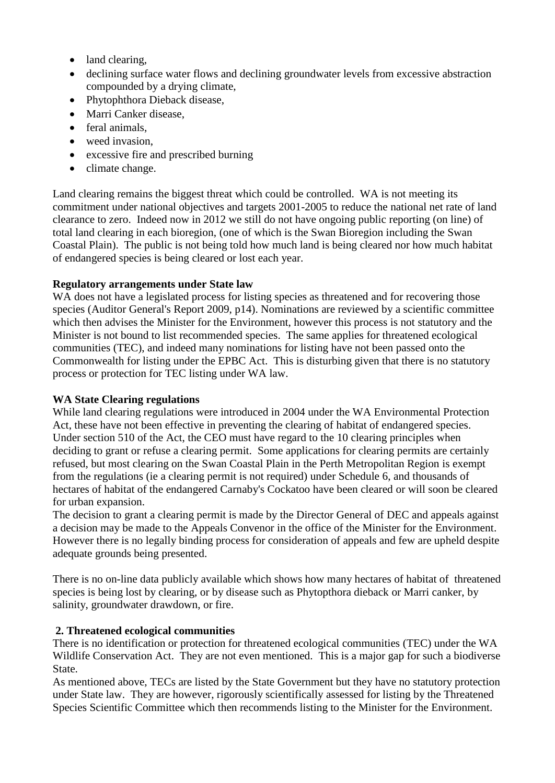- land clearing,
- declining surface water flows and declining groundwater levels from excessive abstraction compounded by a drying climate,
- Phytophthora Dieback disease,
- Marri Canker disease,
- feral animals,
- weed invasion.
- excessive fire and prescribed burning
- climate change.

Land clearing remains the biggest threat which could be controlled. WA is not meeting its commitment under national objectives and targets 2001-2005 to reduce the national net rate of land clearance to zero. Indeed now in 2012 we still do not have ongoing public reporting (on line) of total land clearing in each bioregion, (one of which is the Swan Bioregion including the Swan Coastal Plain). The public is not being told how much land is being cleared nor how much habitat of endangered species is being cleared or lost each year.

# **Regulatory arrangements under State law**

WA does not have a legislated process for listing species as threatened and for recovering those species (Auditor General's Report 2009, p14). Nominations are reviewed by a scientific committee which then advises the Minister for the Environment, however this process is not statutory and the Minister is not bound to list recommended species. The same applies for threatened ecological communities (TEC), and indeed many nominations for listing have not been passed onto the Commonwealth for listing under the EPBC Act. This is disturbing given that there is no statutory process or protection for TEC listing under WA law.

# **WA State Clearing regulations**

While land clearing regulations were introduced in 2004 under the WA Environmental Protection Act, these have not been effective in preventing the clearing of habitat of endangered species. Under section 510 of the Act, the CEO must have regard to the 10 clearing principles when deciding to grant or refuse a clearing permit. Some applications for clearing permits are certainly refused, but most clearing on the Swan Coastal Plain in the Perth Metropolitan Region is exempt from the regulations (ie a clearing permit is not required) under Schedule 6, and thousands of hectares of habitat of the endangered Carnaby's Cockatoo have been cleared or will soon be cleared for urban expansion.

The decision to grant a clearing permit is made by the Director General of DEC and appeals against a decision may be made to the Appeals Convenor in the office of the Minister for the Environment. However there is no legally binding process for consideration of appeals and few are upheld despite adequate grounds being presented.

There is no on-line data publicly available which shows how many hectares of habitat of threatened species is being lost by clearing, or by disease such as Phytopthora dieback or Marri canker, by salinity, groundwater drawdown, or fire.

# **2. Threatened ecological communities**

There is no identification or protection for threatened ecological communities (TEC) under the WA Wildlife Conservation Act. They are not even mentioned. This is a major gap for such a biodiverse State.

As mentioned above, TECs are listed by the State Government but they have no statutory protection under State law. They are however, rigorously scientifically assessed for listing by the Threatened Species Scientific Committee which then recommends listing to the Minister for the Environment.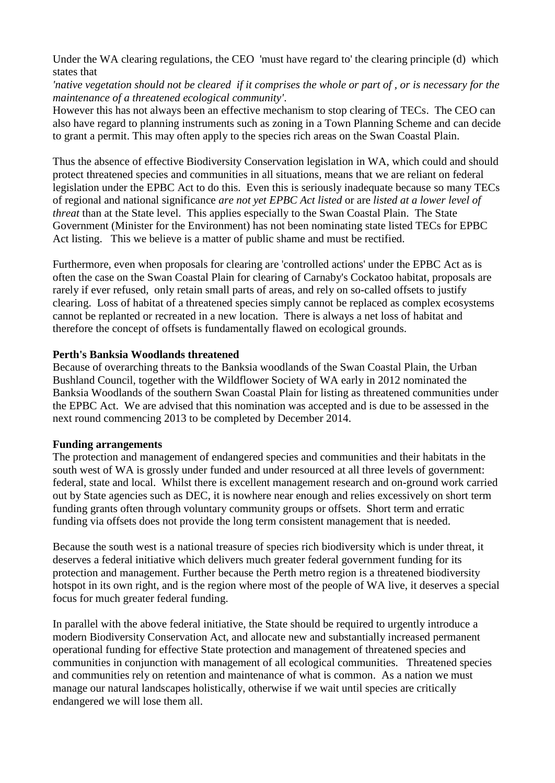Under the WA clearing regulations, the CEO 'must have regard to' the clearing principle (d) which states that

*'native vegetation should not be cleared if it comprises the whole or part of , or is necessary for the maintenance of a threatened ecological community'*.

However this has not always been an effective mechanism to stop clearing of TECs. The CEO can also have regard to planning instruments such as zoning in a Town Planning Scheme and can decide to grant a permit. This may often apply to the species rich areas on the Swan Coastal Plain.

Thus the absence of effective Biodiversity Conservation legislation in WA, which could and should protect threatened species and communities in all situations, means that we are reliant on federal legislation under the EPBC Act to do this. Even this is seriously inadequate because so many TECs of regional and national significance *are not yet EPBC Act listed* or are *listed at a lower level of threat* than at the State level. This applies especially to the Swan Coastal Plain. The State Government (Minister for the Environment) has not been nominating state listed TECs for EPBC Act listing. This we believe is a matter of public shame and must be rectified.

Furthermore, even when proposals for clearing are 'controlled actions' under the EPBC Act as is often the case on the Swan Coastal Plain for clearing of Carnaby's Cockatoo habitat, proposals are rarely if ever refused, only retain small parts of areas, and rely on so-called offsets to justify clearing. Loss of habitat of a threatened species simply cannot be replaced as complex ecosystems cannot be replanted or recreated in a new location. There is always a net loss of habitat and therefore the concept of offsets is fundamentally flawed on ecological grounds.

#### **Perth's Banksia Woodlands threatened**

Because of overarching threats to the Banksia woodlands of the Swan Coastal Plain, the Urban Bushland Council, together with the Wildflower Society of WA early in 2012 nominated the Banksia Woodlands of the southern Swan Coastal Plain for listing as threatened communities under the EPBC Act. We are advised that this nomination was accepted and is due to be assessed in the next round commencing 2013 to be completed by December 2014.

#### **Funding arrangements**

The protection and management of endangered species and communities and their habitats in the south west of WA is grossly under funded and under resourced at all three levels of government: federal, state and local. Whilst there is excellent management research and on-ground work carried out by State agencies such as DEC, it is nowhere near enough and relies excessively on short term funding grants often through voluntary community groups or offsets. Short term and erratic funding via offsets does not provide the long term consistent management that is needed.

Because the south west is a national treasure of species rich biodiversity which is under threat, it deserves a federal initiative which delivers much greater federal government funding for its protection and management. Further because the Perth metro region is a threatened biodiversity hotspot in its own right, and is the region where most of the people of WA live, it deserves a special focus for much greater federal funding.

In parallel with the above federal initiative, the State should be required to urgently introduce a modern Biodiversity Conservation Act, and allocate new and substantially increased permanent operational funding for effective State protection and management of threatened species and communities in conjunction with management of all ecological communities. Threatened species and communities rely on retention and maintenance of what is common. As a nation we must manage our natural landscapes holistically, otherwise if we wait until species are critically endangered we will lose them all.